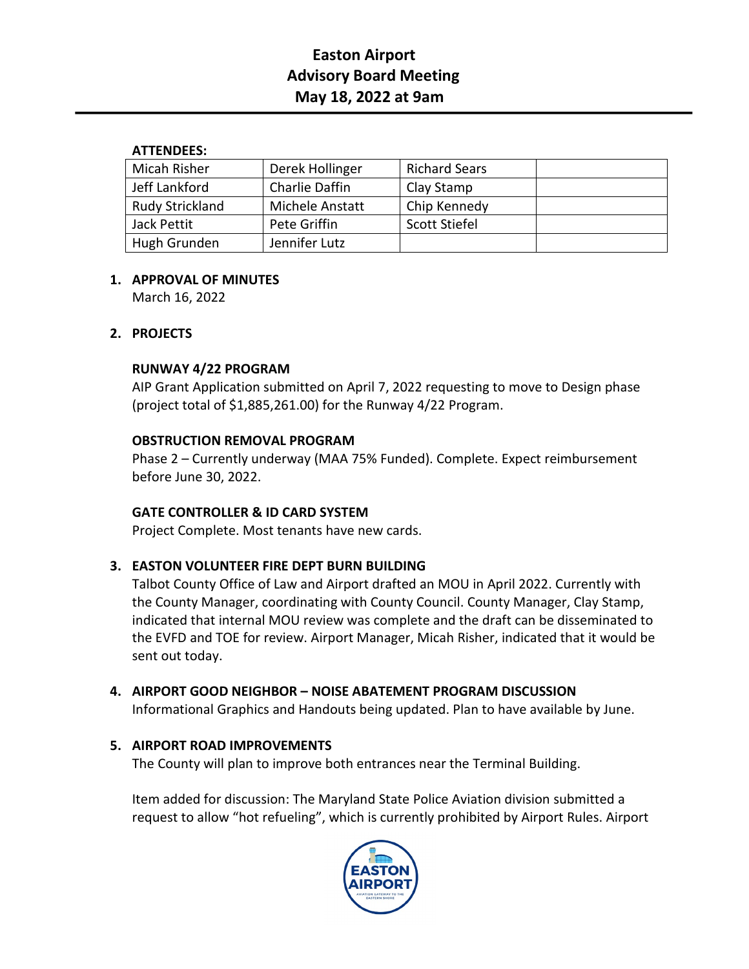# **Easton Airport Advisory Board Meeting May 18, 2022 at 9am**

## **ATTENDEES:**

| Micah Risher           | Derek Hollinger | <b>Richard Sears</b> |  |
|------------------------|-----------------|----------------------|--|
| Jeff Lankford          | Charlie Daffin  | Clay Stamp           |  |
| <b>Rudy Strickland</b> | Michele Anstatt | Chip Kennedy         |  |
| Jack Pettit            | Pete Griffin    | Scott Stiefel        |  |
| Hugh Grunden           | Jennifer Lutz   |                      |  |

# **1. APPROVAL OF MINUTES**

March 16, 2022

# **2. PROJECTS**

## **RUNWAY 4/22 PROGRAM**

AIP Grant Application submitted on April 7, 2022 requesting to move to Design phase (project total of \$1,885,261.00) for the Runway 4/22 Program.

## **OBSTRUCTION REMOVAL PROGRAM**

Phase 2 – Currently underway (MAA 75% Funded). Complete. Expect reimbursement before June 30, 2022.

#### **GATE CONTROLLER & ID CARD SYSTEM**

Project Complete. Most tenants have new cards.

# **3. EASTON VOLUNTEER FIRE DEPT BURN BUILDING**

Talbot County Office of Law and Airport drafted an MOU in April 2022. Currently with the County Manager, coordinating with County Council. County Manager, Clay Stamp, indicated that internal MOU review was complete and the draft can be disseminated to the EVFD and TOE for review. Airport Manager, Micah Risher, indicated that it would be sent out today.

# **4. AIRPORT GOOD NEIGHBOR – NOISE ABATEMENT PROGRAM DISCUSSION**

Informational Graphics and Handouts being updated. Plan to have available by June.

# **5. AIRPORT ROAD IMPROVEMENTS**

The County will plan to improve both entrances near the Terminal Building.

Item added for discussion: The Maryland State Police Aviation division submitted a request to allow "hot refueling", which is currently prohibited by Airport Rules. Airport

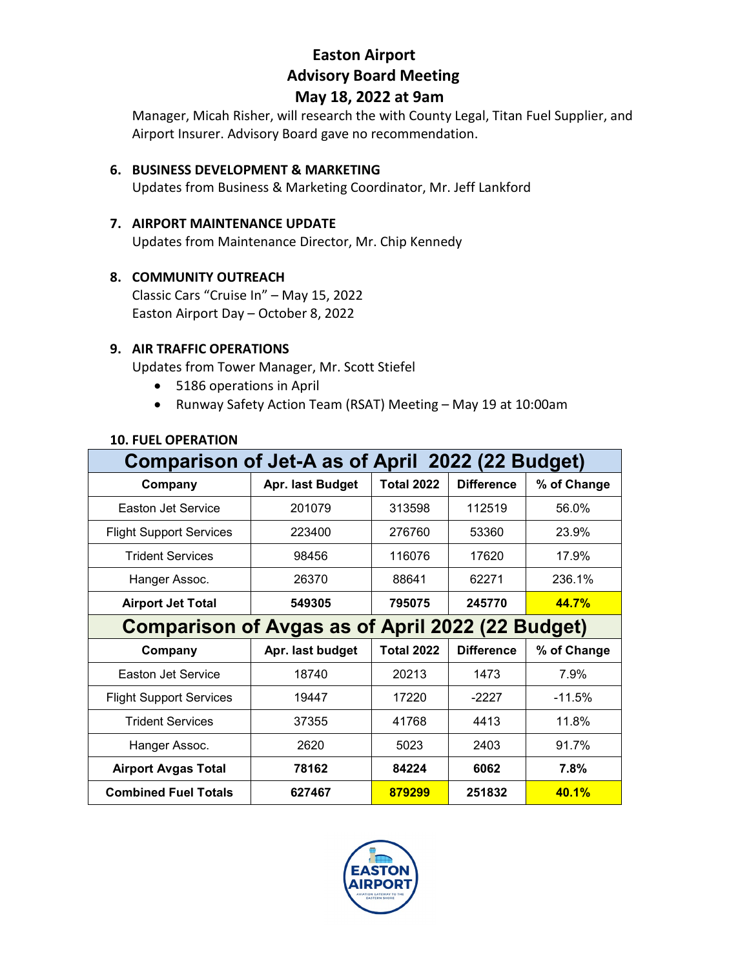# **Easton Airport Advisory Board Meeting**

# **May 18, 2022 at 9am**

Manager, Micah Risher, will research the with County Legal, Titan Fuel Supplier, and Airport Insurer. Advisory Board gave no recommendation.

#### **6. BUSINESS DEVELOPMENT & MARKETING**

Updates from Business & Marketing Coordinator, Mr. Jeff Lankford

#### **7. AIRPORT MAINTENANCE UPDATE**

Updates from Maintenance Director, Mr. Chip Kennedy

#### **8. COMMUNITY OUTREACH**

Classic Cars "Cruise In" – May 15, 2022 Easton Airport Day – October 8, 2022

#### **9. AIR TRAFFIC OPERATIONS**

Updates from Tower Manager, Mr. Scott Stiefel

- 5186 operations in April
- Runway Safety Action Team (RSAT) Meeting May 19 at 10:00am

| Comparison of Jet-A as of April 2022 (22 Budget)        |                  |                   |                   |              |  |  |
|---------------------------------------------------------|------------------|-------------------|-------------------|--------------|--|--|
| Company                                                 | Apr. last Budget | <b>Total 2022</b> | <b>Difference</b> | % of Change  |  |  |
| Easton Jet Service                                      | 201079           | 313598            | 112519            | 56.0%        |  |  |
| <b>Flight Support Services</b>                          | 223400           | 276760            | 53360             | 23.9%        |  |  |
| <b>Trident Services</b>                                 | 98456            | 116076            | 17620             | 17.9%        |  |  |
| Hanger Assoc.                                           | 26370            | 88641             | 62271             | 236.1%       |  |  |
| <b>Airport Jet Total</b>                                | 549305           | 795075            | 245770            | <b>44.7%</b> |  |  |
| <b>Comparison of Avgas as of April 2022 (22 Budget)</b> |                  |                   |                   |              |  |  |
| Company                                                 | Apr. last budget | <b>Total 2022</b> | <b>Difference</b> | % of Change  |  |  |
| Easton Jet Service                                      | 18740            | 20213             | 1473              | 7.9%         |  |  |
| <b>Flight Support Services</b>                          | 19447            | 17220             | $-2227$           | $-11.5%$     |  |  |
| <b>Trident Services</b>                                 | 37355            | 41768             | 4413              | 11.8%        |  |  |
| Hanger Assoc.                                           | 2620             | 5023              | 2403              | 91.7%        |  |  |
| <b>Airport Avgas Total</b>                              | 78162            | 84224             | 6062              | 7.8%         |  |  |
| <b>Combined Fuel Totals</b>                             | 627467           | 879299            | 251832            | 40.1%        |  |  |

#### **10. FUEL OPERATION**